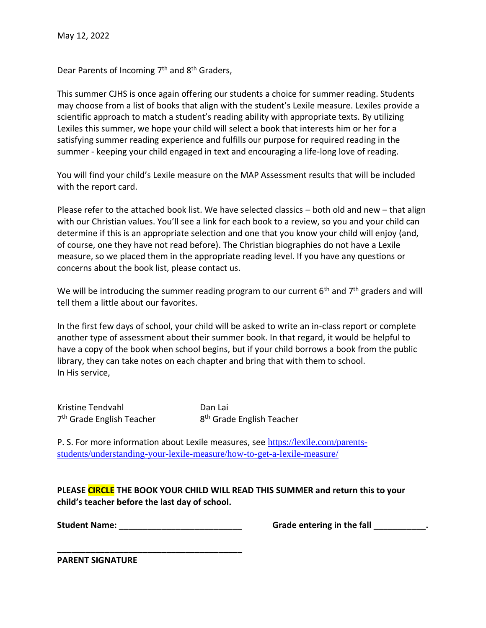Dear Parents of Incoming 7<sup>th</sup> and 8<sup>th</sup> Graders,

This summer CJHS is once again offering our students a choice for summer reading. Students may choose from a list of books that align with the student's Lexile measure. Lexiles provide a scientific approach to match a student's reading ability with appropriate texts. By utilizing Lexiles this summer, we hope your child will select a book that interests him or her for a satisfying summer reading experience and fulfills our purpose for required reading in the summer - keeping your child engaged in text and encouraging a life-long love of reading.

You will find your child's Lexile measure on the MAP Assessment results that will be included with the report card.

Please refer to the attached book list. We have selected classics – both old and new – that align with our Christian values. You'll see a link for each book to a review, so you and your child can determine if this is an appropriate selection and one that you know your child will enjoy (and, of course, one they have not read before). The Christian biographies do not have a Lexile measure, so we placed them in the appropriate reading level. If you have any questions or concerns about the book list, please contact us.

We will be introducing the summer reading program to our current  $6<sup>th</sup>$  and  $7<sup>th</sup>$  graders and will tell them a little about our favorites.

In the first few days of school, your child will be asked to write an in-class report or complete another type of assessment about their summer book. In that regard, it would be helpful to have a copy of the book when school begins, but if your child borrows a book from the public library, they can take notes on each chapter and bring that with them to school. In His service,

Kristine Tendvahl Dan Lai 7<sup>th</sup> Grade English Teacher 8

8<sup>th</sup> Grade English Teacher

P. S. For more information about Lexile measures, see [https://lexile.com/parents](https://lexile.com/parents-students/understanding-your-lexile-measure/how-to-get-a-lexile-measure/)[students/understanding-your-lexile-measure/how-to-get-a-lexile-measure/](https://lexile.com/parents-students/understanding-your-lexile-measure/how-to-get-a-lexile-measure/)

**PLEASE CIRCLE THE BOOK YOUR CHILD WILL READ THIS SUMMER and return this to your child's teacher before the last day of school.**

**\_\_\_\_\_\_\_\_\_\_\_\_\_\_\_\_\_\_\_\_\_\_\_\_\_\_\_\_\_\_\_\_\_\_\_\_\_\_\_**

**Student Name:** The student Name: The student of the fall control of the fall control of the fall control of the fall control of the fall control of the fall control of the fall control of the fall control of the fall cont

**PARENT SIGNATURE**